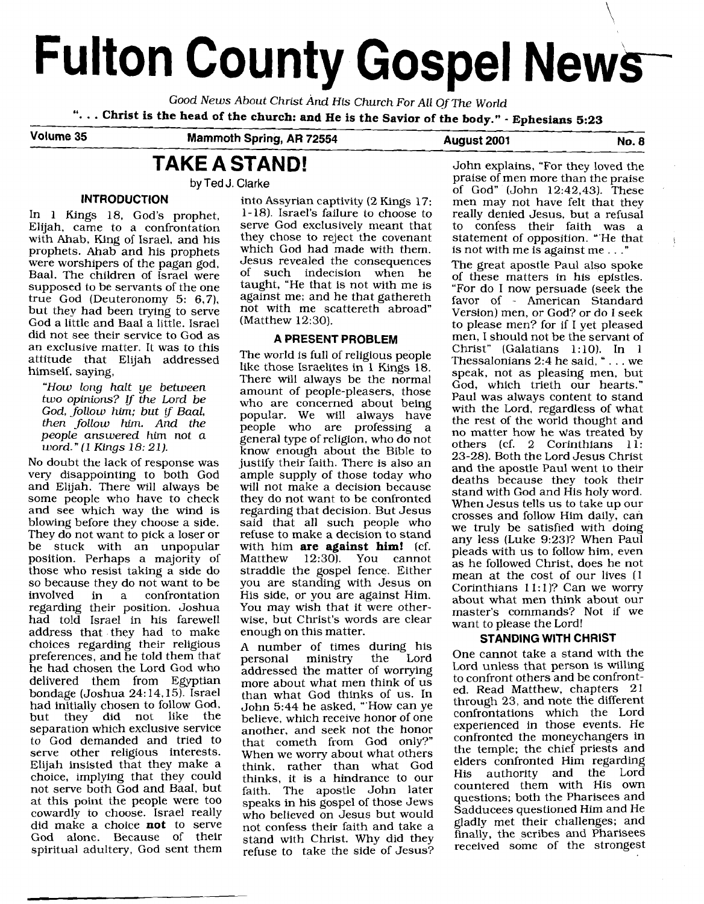# **Fulton County Gospel News**

Good News About Christ And His Church For All Of The World<br>"... Christ is the head of the church: and He is the Savior of the body." *-* **Ephesians 5:23** 

**Volume 35 Mammoth Spring, AR 72554** 

**August 2001 No. 8** 

### **TAKE A STAND!**

**by Ted J. Clarke** 

Elijah, came to a confrontation serve God exclusively meant that<br>with Ahab King of Israel and his they chose to reject the covenant with Ahab, King of Israel, and his they chose to reject the covenant<br>prophets. Ahab and his prophets which God had made with them. prophets. Ahab and his prophets which God had made with them.<br>were worshiners of the pagan god desus revealed the consequences were worshipers of the pagan god,<br>Baal. The children of Israel were Baal. The children of Israel were of such indecision when he supposed to be servants of the one taught, "He that is not with me is true God (Deuteronomy 5: **6,7),** against me; and he that gathereth but they had been trying to serve not with me so<br>God a little and Baat a little Israel (Matthew 12:30). God a little and Baal a little. Israel did not see their service to God as an exclusive matter. It was to this attitude that Elijah addressed himself, saying,

"How long halt ye between two opinions? **If** the Lord be God, follow him; but if Baal, then follow him. And the people answered him not a word. " **(1** Kings 18: 21).

No doubt the lack of response was very disappointing to both God and Elijah. There will always be some people who have to check and see which way the wind is blowing before they choose a side. They do not want to pick a loser or be stuck with an unpopular position. Perhaps a majority of those who resist taking a side do so because they do not want to be<br>involved in a confrontation confrontation regarding their position. Joshua had told Israel in his farewell address that they had to make choices regarding their religious preferences, and he told them that he had chosen the Lord God who delivered them from Egyptian bondage (Joshua 24: 14.15). Israel had initially chosen to follow God,<br>but they did not like the did not like the separation which exclusive service to God demanded and tried to serve other religious interests. Elijah insisted that they make a choice, implying that they could not serve both God and Baal, but at this point the people were too cowardly to choose. Israel really did make a choice **not** to serve God alone. Because of their spiritual adultery, God sent them

**INTRODUCTION** into Assyrian captivity (2 Kings 17: In 1 Kings 18, God's prophet,  $1-18$ ). Israel's failure to choose to taught, "He that is not with me is against me; and he that gathereth

#### **A PRESENT PROBLEM**

The world is full of religious people like those Israelites in 1 Kings 18. There will always be the normal amount of people-pleasers, those who are concerned about being popular. We will always have people who are professing a general type of religion, who do not know enough about the Bible to justify their faith. There is also an ample supply of those today who will not make a decision because they do not want to be confronted regarding that decision. But Jesus said that all such people who refuse to make a decision to stand with him **are against him!** (cf.<br>Matthew 12:30). You cannot You cannot straddle the gospel fence. Either you are standing with Jesus on His side, or you are against Him. You may wish that it were otherwise, but Christ's words are clear enough on this matter.

A number of times during his personal ministry addressed the matter of worrying more about what men think of us than what God thinks of us. In John 5:44 he asked, "'How can ye believe, which receive honor of one another, and seek not the honor that cometh from God only?" When we worry about what others think, rather than what God thinks, it is a hindrance to our faith. The apostle John later speaks in his gospel of those Jews who believed on Jesus but would not confess their faith and take a stand with Christ. Why did they refuse to take the side of Jesus?

John explains, "For they loved the praise of men more than the praise of God" (John 12:42,43). These men may not have felt that they really denied Jesus, but a refusal to confess their faith was a statement of opposition. "'He that is not with me is against me . . ."

The great apostle Paul also spoke of these matters in his epistles. "For do I now persuade (seek the favor of - American Standard Version) men, or God? or do I seek to please men? for if I yet pleased men, I should not be the servant of Christ" (Galatians 1:10). In 1 Thessalonians 2:4 he said, " . . . we speak, not as pleasing men, but God, which trieth our hearts." Paul was always content to stand with the Lord, regardless of what the rest of the world thought and no matter how he was treated by others (cf. 2 Corinthians 11: 23-28). Both the Lord Jesus Christ and the apostle Paul went to their deaths because they took their stand with God and His holy word. When Jesus tells us to take up our crosses and follow Him daily, can we truly be satisfied with doing any less (Luke 9:231? When Paul pleads with us to follow him, even as he followed Christ, does he not mean at the cost of our lives (1) Corinthians  $11:1$ ? Can we worry about what men think about our master's commands? Not if we want to please the Lord!

#### **STANDING WITH CHRIST**

One cannot take a stand with the Lord unless that person is willing to confront others and be confronted. Read Matthew, chapters 21 through 23, and note the different confrontations which the Lord experienced in those events. He confronted the moneychangers in the temple; the chief priests and elders confronted Him regarding authority and the Lord countered them with His own questions; both the Pharisees and Sadducees questioned Him and He gladly met their challenges; and finally, the scribes and Pharisees received some of the strongest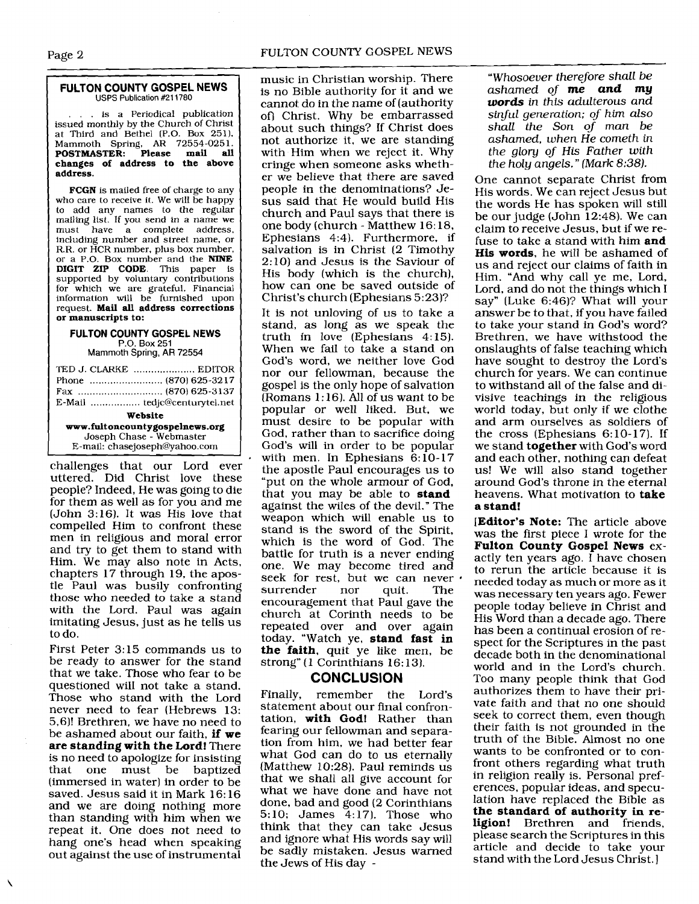#### **FULTON COUNTY GOSPEL NEWS USPS Publication** #211780

.. is a Periodical publication issued monthly by the Church of Christ at Third and Bethel (P.O. Box 251), Mammoth Spring, **AR** 72554-0251. **POSTMASTER: Please mail all changes of address to the above address.** 

**FCGN** is mailed free of charge to any who care to receive it. We will be happy to add any names to the regular mailing list. If you send in a name we must have a complete address. including number and street name, or R.R. or HCR number, plus box number. or a P.O. Box number and the **NINE**  DIGIT ZIP **CODE.** This paper is supported by voluntary contributions for which we are grateful. Financial information will be furnished upon request. **Mail all address corrections or manuscripts to:** 

#### **FULTON COLINTY GOSPEL NEWS**

P.O. Box **251**  Mammoth Spring, **AR 72554** 

| TED J. CLARKE  EDITOR                                      |  |
|------------------------------------------------------------|--|
|                                                            |  |
| Website                                                    |  |
| www.fultoncountygospelnews.org<br>Joseph Chase - Webmaster |  |
| E-mail: chasejoseph@yahoo.com                              |  |

challenges that our Lord ever uttered. Did Christ love these people? Indeed, He was going to die for them as well as for you and me (John 3: 16). It was His love that compelled Him to confront these men in religious and moral error and try to get them to stand with Him. We may also note in Acts, chapters 17 through 19, the apostle Paul was busily confronting those who needed to take a stand with the Lord. Paul was again imitating Jesus, just as he tells us to do.

First Peter **3:** 15 commands us to be ready to answer for the stand that we take. Those who fear to be questioned will not take a stand. Those who stand with the Lord never need to fear (Hebrews 13: 5,6)! Brethren, we have no need to be ashamed about our faith, **if we are standing with the Lord!** There is no need to apologize for insisting that one must be baptized (immersed in water) in order to be saved. Jesus said it in Mark 16: 16 and we are doing nothing more than standing with him when we repeat it. One does not need to hang one's head when speaking out against the use of instrumental music in Christian worship. There is no Bible authority for it and we cannot do in the name of (authority of) Christ. Why be embarrassed about such things? If Christ does not authorize it, we are standing with Him when we reject it. Why cringe when someone asks whether we believe that there are saved people in the denominations? Jesus said that He would build His church and Paul says that there is one body (church - Matthew 16: 18, Ephesians 4:4). Furthermore, if salvation is in Christ (2 Timothy 2:lO) and Jesus is the Saviour of His body (which is the church), how can one be saved outside of Christ's church (Ephesians 5:23)?

It is not unloving of us to take a stand, as long as we speak the truth in love (Ephesians 4:15). When we fail to take a stand on God's word, we neither love God nor our fellowman, because the gospel is the only hope of salvation  $(Romans 1:16)$ . All of us want to be popular or well liked. But, we must desire to be popular with God, rather than to sacrifice doing God's will in order to be popular with men. In Ephesians  $6:10-17$ the apostle Paul encourages us to "put on the whole armour of God, that you may be able to **stand**  against the wiles of the devil." The weapon which will enable us to stand is the sword of the Spirit, which is the word of God. The battle for truth is a never ending one. We may become tired and seek for rest, but we can never  $\cdot$ surrender nor quit. The encouragement that Paul gave the church at Corinth needs to be repeated over and over again today. "Watch ye, **stand fast in the faith,** quit ye like men, be strong" (1 Corinthians 16:13).

#### **CONCLUSION**

Finally, remember the Lord's statement about our final confrontation, **with God!** Rather than fearing our fellowman and separation from him, we had better fear what God can do to us eternally (Matthew 10:28). Paul reminds us that we shall all give account for what we have done and have not done, bad and good (2 Corinthians 5:lO; James 4:17). Those who think that they can take Jesus and ignore what His words say will be sadly mistaken. Jesus warned the Jews of His day -

*"Whosoever therefore shall be ashamed of me and* **my words** *in this adulterous and sinJul generation; of* **him** *also shall the Son* of *man be ashamed, when He cometh in the glory of* His *Father with the* holy *angels.* " *(Mark* 8:38).

One cannot separate Christ from His words. We can reject Jesus but the words He has spoken will still be our judge (John 12:48). We can claim to receive Jesus, but if we refuse to take a stand with him **and His words,** he will be ashamed of us and reject our claims of faith in Him. "And why call ye me, Lord, Lord, and do not the things which I say" (Luke 6:46)? What will your answer be to that, if you have failed to take your stand in God's word? Brethren, we have withstood the onslaughts of false teaching which have sought to destroy the Lord's church for years. We can continue to withstand all of the false and divisive teachings in the religious world today, but only if we clothe and arm ourselves as soldiers of the cross (Ephesians  $6:10-17$ ). If we stand **together** with God's word and each other, nothing can defeat us! We will also stand together around God's throne in the eternal heavens. What motivation to **take a stand!** 

**[Editor's Note:** The article above was the first piece I wrote for the **Fulton County Gospel News** exactly ten years ago. I have chosen to rerun the article because it is needed today as much or more as it was necessary ten years ago. Fewer people today believe in Christ and His Word than a decade ago. There has been a continual erosion of respect for the Scriptures in the past decade both in the denominational world and in the Lord's church. Too many people think that God authorizes them to have their private faith and that no one should seek to correct them, even though their faith is not grounded in the truth of the Bible. Almost no one wants to be confronted or to confront others regarding what truth in religion really is. Personal preferences, popular ideas, and speculation have replaced the Bible as **the standard of authority in religion!** Brethren and friends, please search the Scriptures in this article and decide to take your stand with the Lord Jesus Christ.]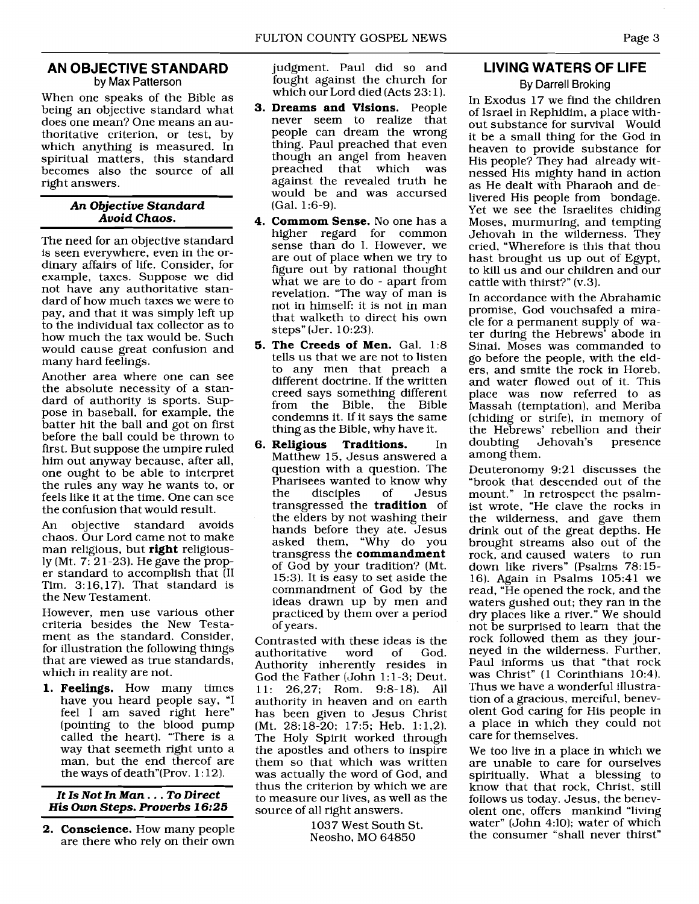#### **AN OBJECTIVE STANDARD**  by Max Patterson

When one speaks of the Bible as being an objective standard what does one mean? One means an authoritative criterion, or test, by which anything is measured. In spiritual matters, this standard becomes also the source of all right answers.

#### *An Objective Standard Avoid Chaos.*

The need for an objective standard is seen everywhere, even in the ordinary affairs of life. Consider, for example, taxes. Suppose we did not have any authoritative standard of how much taxes we were to pay, and that it was simply left up to the individual tax collector as to how much the tax would be. Such would cause great confusion and many hard feelings.

Another area where one can see the absolute necessity of a standard of authority is sports. Suppose in baseball, for example, the batter hit the ball and got on first before the ball could be thrown to first. But suppose the umpire ruled him out anyway because, after all. one ought to be able to interpret the rules any way he wants to, or feels like it at the time. One can see the confusion that would result.

An objective standard avoids chaos. Our Lord came not to make man religious, but **right** religiously (Mt. 7: 21-23). He gave the proper standard to accomplish that (I1 Tim.  $3:16,17$ . That standard is the New Testament.

However, men use various other criteria besides the New Testament as the standard. Consider, for illustration the following things that are viewed as true standards, which in reality are not.

**1. Feelings.** How many times have you heard people say, "I feel I am saved right here" (pointing to the blood pump called the heart). "There is a way that seemeth right unto a man, but the end thereof are the ways of death"(Prov.  $1:12$ ).

#### *It Is Not In Man.* . . *To Direct*  **His** *Own Steps. Proverbs* **16:25**

*2.* **Conscience.** How many people are there who rely on their own judgment. Paul did so and fought against the church for which our Lord died (Acts 23:1).

- **3. Dreams and Visions.** People never seem to realize that people can dream the wrong thing. Paul preached that even though an angel from heaven<br>preached that which was preached that which against the revealed truth he would be and was accursed (Gal. 1:6-9).
- **4. Commom Sense.** No one has a higher regard for common sense than do I. However, we are out of place when we try to figure out by rational thought what we are to do - apart from revelation. "The way of man is not in himself: it is not in man that walketh to direct his own steps" (Jer. 10:23).
- **5. The Creeds of Men.** Gal. 1:8 tells us that we are not to listen to any men that preach a different doctrine. If the written creed says something different from the Bible, the Bible condemns it. If it says the same thing as the Bible, why have it.
- **6. Religious Traditions.** In Matthew 15, Jesus answered a question with a question. The Pharisees wanted to know why<br>the disciples of Jesus the disciples of Jesus transgressed the **tradition** of the elders by not washing their hands before they ate. Jesus asked them, "Why do you transgress the **commandment**  of God by your tradition? (Mt. 15:3). It is easy to set aside the commandment of God by the ideas drawn up by men and practiced by them over a period of years.

Contrasted with these ideas is the<br>authoritative word of God. authoritative Authority inherently resides in God the Father (John 1: 1-3; Deut. 11: 26,27; Rom. 9:8-18). All authority in heaven and on earth has been given to Jesus Christ (Mt. 28:18-20; 17:5; Heb. 1:1,2). The Holy Spirit worked through the apostles and others to inspire them so that which was written was actually the word of God, and thus the criterion by which we are to measure our lives, as well as the source of all right answers.

> 1037 West South St. Neosho, MO 64850

#### **LIVING WATERS OF LIFE**

#### By Darrell Broking

In Exodus 17 we find the children of Israel in Rephidim, a place without substance for survival Would it be a small thing for the God in heaven to provide substance for His people? They had already witnessed His mighty hand in action as He dealt with Pharaoh and delivered His people from bondage. Yet we see the Israelites chiding Moses, murmuring, and tempting Jehovah in the wilderness. They cried, "Wherefore is this that thou hast brought us up out of Egypt, to kill us and our children and our cattle with thirst?" (v.3).

In accordance with the Abrahamic promise, God vouchsafed a miracle for a permanent supply of water during the Hebrews' abode in Sinai. Moses was commanded to go before the people, with the elders, and smite the rock in Horeb, and water flowed out of it. This place was now referred to as Massah (temptation), and Meriba (chiding or strife), in memory of the Hebrews' rebellion and their<br>doubting Jehovah's presence Jehovah's among them.

Deuteronomy 9:21 discusses the "brook that descended out of the mount." In retrospect the psalmist wrote, "He clave the rocks in the wilderness, and gave them drink out of the great depths. He brought streams also out of the rock, and caused waters to run down like rivers" (Psalms 78:15- 16). Again in Psalms 105:41 we read, "He opened the rock, and the waters gushed out; they ran in the dry places like a river." We should not be surprised to learn that the rock followed them as they journeyed in the wilderness. Further, Paul informs us that "that rock was Christ" (1 Corinthians 10:4). Thus we have a wonderful illustration of a gracious, merciful, benevolent God caring for His people in a place in which they could not care for themselves.

We too live in a place in which we are unable to care for ourselves spiritually. What a blessing to know that that rock, Christ, still follows us today. Jesus, the benevolent one, offers mankind "living water" (John 4:10); water of which the consumer "shall never thirst"